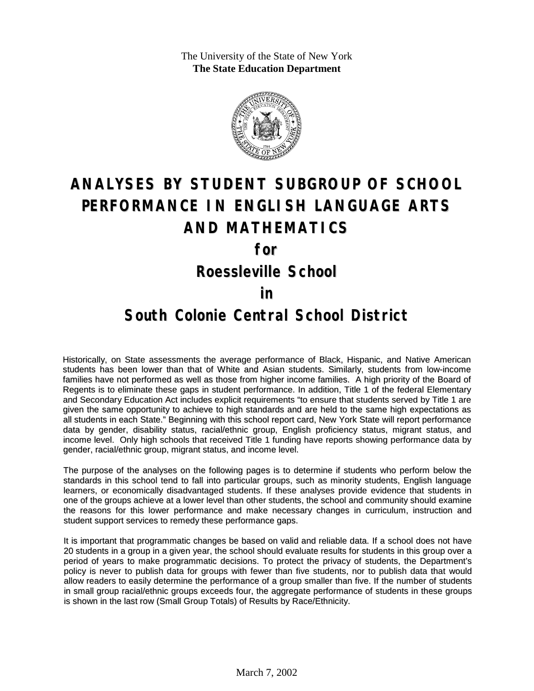The University of the State of New York **The State Education Department**



# **ANALYSES BY STUDENT SUBGROUP OF SCHOOL PERFORMANCE IN ENGLISH LANGUAGE ARTS AND MATHEMATICS**

**for**

**Roessleville School**

#### **in**

### **South Colonie Central School District**

Historically, on State assessments the average performance of Black, Hispanic, and Native American students has been lower than that of White and Asian students. Similarly, students from low-income families have not performed as well as those from higher income families. A high priority of the Board of Regents is to eliminate these gaps in student performance. In addition, Title 1 of the federal Elementary and Secondary Education Act includes explicit requirements "to ensure that students served by Title 1 are given the same opportunity to achieve to high standards and are held to the same high expectations as all students in each State." Beginning with this school report card, New York State will report performance data by gender, disability status, racial/ethnic group, English proficiency status, migrant status, and income level. Only high schools that received Title 1 funding have reports showing performance data by gender, racial/ethnic group, migrant status, and income level.

The purpose of the analyses on the following pages is to determine if students who perform below the standards in this school tend to fall into particular groups, such as minority students, English language learners, or economically disadvantaged students. If these analyses provide evidence that students in one of the groups achieve at a lower level than other students, the school and community should examine the reasons for this lower performance and make necessary changes in curriculum, instruction and student support services to remedy these performance gaps.

It is important that programmatic changes be based on valid and reliable data. If a school does not have 20 students in a group in a given year, the school should evaluate results for students in this group over a period of years to make programmatic decisions. To protect the privacy of students, the Department's policy is never to publish data for groups with fewer than five students, nor to publish data that would allow readers to easily determine the performance of a group smaller than five. If the number of students in small group racial/ethnic groups exceeds four, the aggregate performance of students in these groups is shown in the last row (Small Group Totals) of Results by Race/Ethnicity.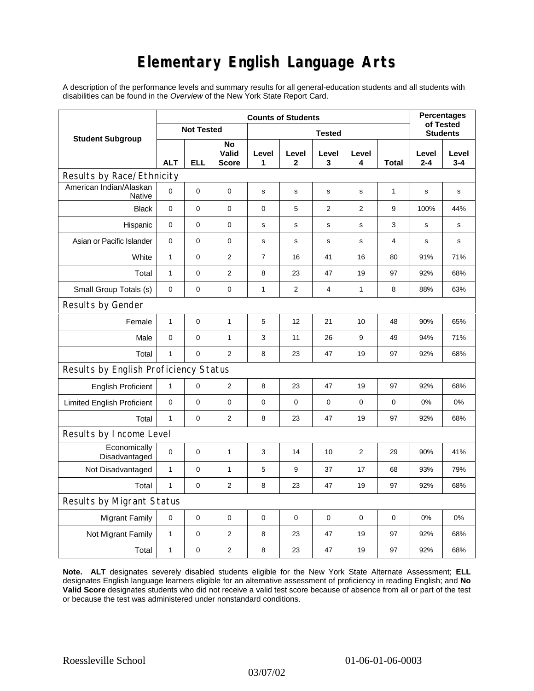## **Elementary English Language Arts**

A description of the performance levels and summary results for all general-education students and all students with disabilities can be found in the *Overview* of the New York State Report Card.

| <b>Student Subgroup</b>                  | <b>Counts of Students</b> |          |                             |               |                |             |                |             | <b>Percentages</b><br>of Tested |                  |
|------------------------------------------|---------------------------|----------|-----------------------------|---------------|----------------|-------------|----------------|-------------|---------------------------------|------------------|
|                                          | <b>Not Tested</b>         |          |                             | <b>Tested</b> |                |             |                |             | <b>Students</b>                 |                  |
|                                          | <b>ALT</b>                | ELL      | No<br>Valid<br><b>Score</b> | Level<br>1    | Level<br>2     | Level<br>3  | Level<br>4     | Total       | Level<br>$2 - 4$                | Level<br>$3 - 4$ |
| Results by Race/Ethnicity                |                           |          |                             |               |                |             |                |             |                                 |                  |
| American Indian/Alaskan<br><b>Native</b> | $\mathbf 0$               | 0        | $\mathbf 0$                 | $\mathbf S$   | $\mathsf{s}$   | $\mathbf s$ | s              | 1           | $\mathbf S$                     | s                |
| <b>Black</b>                             | $\mathbf 0$               | 0        | 0                           | 0             | 5              | 2           | 2              | 9           | 100%                            | 44%              |
| Hispanic                                 | $\mathbf 0$               | 0        | $\pmb{0}$                   | s             | s              | $\mathbf S$ | s              | 3           | s                               | s                |
| Asian or Pacific Islander                | 0                         | 0        | $\mathbf 0$                 | s             | s              | $\mathbf s$ | s              | 4           | s                               | s                |
| White                                    | $\mathbf{1}$              | 0        | $\overline{2}$              | 7             | 16             | 41          | 16             | 80          | 91%                             | 71%              |
| Total                                    | $\mathbf{1}$              | 0        | $\overline{2}$              | 8             | 23             | 47          | 19             | 97          | 92%                             | 68%              |
| Small Group Totals (s)                   | 0                         | 0        | 0                           | 1             | $\overline{c}$ | 4           | 1              | 8           | 88%                             | 63%              |
| Results by Gender                        |                           |          |                             |               |                |             |                |             |                                 |                  |
| Female                                   | $\mathbf{1}$              | 0        | $\mathbf{1}$                | 5             | 12             | 21          | 10             | 48          | 90%                             | 65%              |
| Male                                     | $\mathbf 0$               | 0        | $\mathbf{1}$                | 3             | 11             | 26          | 9              | 49          | 94%                             | 71%              |
| Total                                    | $\mathbf{1}$              | 0        | 2                           | 8             | 23             | 47          | 19             | 97          | 92%                             | 68%              |
| Results by English Proficiency Status    |                           |          |                             |               |                |             |                |             |                                 |                  |
| <b>English Proficient</b>                | $\mathbf{1}$              | 0        | $\overline{2}$              | 8             | 23             | 47          | 19             | 97          | 92%                             | 68%              |
| <b>Limited English Proficient</b>        | 0                         | 0        | $\pmb{0}$                   | 0             | $\mathbf 0$    | $\mathbf 0$ | $\mathbf 0$    | $\mathbf 0$ | 0%                              | 0%               |
| Total                                    | $\mathbf{1}$              | 0        | $\overline{2}$              | 8             | 23             | 47          | 19             | 97          | 92%                             | 68%              |
| Results by Income Level                  |                           |          |                             |               |                |             |                |             |                                 |                  |
| Economically<br>Disadvantaged            | $\mathbf 0$               | 0        | 1                           | 3             | 14             | 10          | $\overline{2}$ | 29          | 90%                             | 41%              |
| Not Disadvantaged                        | 1                         | 0        | $\mathbf{1}$                | 5             | 9              | 37          | 17             | 68          | 93%                             | 79%              |
| Total                                    | $\mathbf{1}$              | $\Omega$ | $\mathbf{2}$                | 8             | 23             | 47          | 19             | 97          | 92%                             | 68%              |
| Results by Migrant Status                |                           |          |                             |               |                |             |                |             |                                 |                  |
| <b>Migrant Family</b>                    | 0                         | 0        | 0                           | 0             | 0              | $\mathbf 0$ | 0              | 0           | 0%                              | 0%               |
| Not Migrant Family                       | $\mathbf{1}$              | 0        | 2                           | 8             | 23             | 47          | 19             | 97          | 92%                             | 68%              |
| Total                                    | $\mathbf{1}$              | 0        | 2                           | 8             | 23             | 47          | 19             | 97          | 92%                             | 68%              |

**Note. ALT** designates severely disabled students eligible for the New York State Alternate Assessment; **ELL** designates English language learners eligible for an alternative assessment of proficiency in reading English; and **No Valid Score** designates students who did not receive a valid test score because of absence from all or part of the test or because the test was administered under nonstandard conditions.